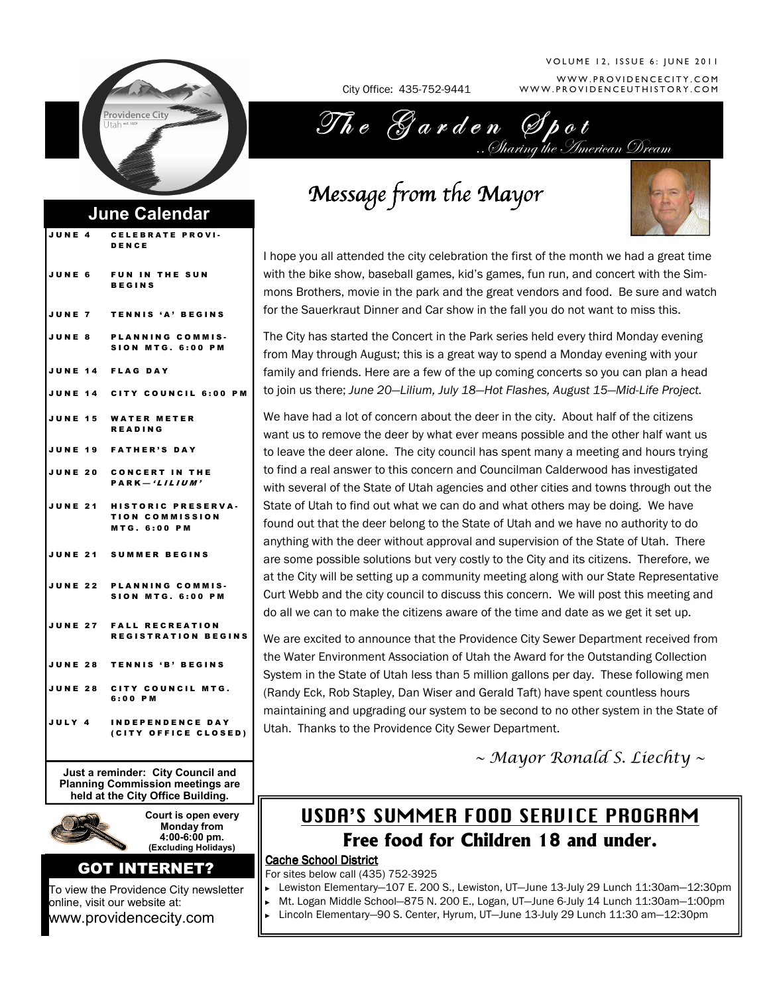

## June Calendar

| JUNE 4 | <b>CELEBRATE PROVI-</b><br>DENCE                                            |
|--------|-----------------------------------------------------------------------------|
|        | JUNE 6 FUN IN THE SUN<br><b>BEGINS</b>                                      |
|        | JUNE 7 TENNIS 'A' BEGINS                                                    |
|        | JUNE 8 PLANNING COMMIS-<br><b>SION MTG. 6:00 PM</b>                         |
|        | JUNE 14 FLAG DAY                                                            |
|        | JUNE 14 CITY COUNCIL 6:00 PM                                                |
|        | JUNE 15 WATER METER<br><b>READING</b>                                       |
|        | JUNE 19 FATHER'S DAY                                                        |
|        | JUNE 20 CONCERT IN THE<br>$\mathsf{PARK}-\mathsf{!}$                        |
|        | JUNE 21 HISTORIC PRESERVA-<br><b>TION COMMISSION</b><br><b>MTG. 6:00 PM</b> |
|        | JUNE 21 SUMMER BEGINS                                                       |
|        | JUNE 22 PLANNING COMMIS-<br><b>SION MTG. 6:00 PM</b>                        |
|        | JUNE 27 FALL RECREATION<br><b>REGISTRATION BEGINS</b>                       |
|        | JUNE 28 TENNIS 'B' BEGINS                                                   |
|        | JUNE 28 CITY COUNCIL MTG.<br>6:00 PM                                        |
|        | JULY 4 INDEPENDENCE DAY<br>(CITY OFFICE CLOSED)                             |

Just a reminder: City Council and Planning Commission meetings are held at the City Office Building.



Court is open every Monday from 4:00-6:00 pm. (Excluding Holidays)

## GOT INTERNET?

To view the Providence City newsletter online, visit our website at: www.providencecity.com

City Office: 435-752-9441

#### WWW.PROVIDENCECITY.COM WWW.PROVIDENCEUTHISTORY.COM V O L U M E 12, ISSUE 6: JUNE 2011

Imerican Dream The Garden Spot

Message from the Mayor



I hope you all attended the city celebration the first of the month we had a great time with the bike show, baseball games, kid's games, fun run, and concert with the Simmons Brothers, movie in the park and the great vendors and food. Be sure and watch for the Sauerkraut Dinner and Car show in the fall you do not want to miss this.

The City has started the Concert in the Park series held every third Monday evening from May through August; this is a great way to spend a Monday evening with your family and friends. Here are a few of the up coming concerts so you can plan a head to join us there; June 20—Lilium, July 18—Hot Flashes, August 15—Mid-Life Project.

We have had a lot of concern about the deer in the city. About half of the citizens want us to remove the deer by what ever means possible and the other half want us to leave the deer alone. The city council has spent many a meeting and hours trying to find a real answer to this concern and Councilman Calderwood has investigated with several of the State of Utah agencies and other cities and towns through out the State of Utah to find out what we can do and what others may be doing. We have found out that the deer belong to the State of Utah and we have no authority to do anything with the deer without approval and supervision of the State of Utah. There are some possible solutions but very costly to the City and its citizens. Therefore, we at the City will be setting up a community meeting along with our State Representative Curt Webb and the city council to discuss this concern. We will post this meeting and do all we can to make the citizens aware of the time and date as we get it set up.

We are excited to announce that the Providence City Sewer Department received from the Water Environment Association of Utah the Award for the Outstanding Collection System in the State of Utah less than 5 million gallons per day. These following men (Randy Eck, Rob Stapley, Dan Wiser and Gerald Taft) have spent countless hours maintaining and upgrading our system to be second to no other system in the State of Utah. Thanks to the Providence City Sewer Department.

~ Mayor Ronald S. Liechty ~

# USDA'S SUMMER FOOD SERVICE PROGRAM Free food for Children 18 and under.

### Cache School District

For sites below call (435) 752-3925

- ► Lewiston Elementary—107 E. 200 S., Lewiston, UT—June 13-July 29 Lunch 11:30am—12:30pm
- ► Mt. Logan Middle School—875 N. 200 E., Logan, UT—June 6-July 14 Lunch 11:30am—1:00pm
	- ► Lincoln Elementary—90 S. Center, Hyrum, UT—June 13-July 29 Lunch 11:30 am—12:30pm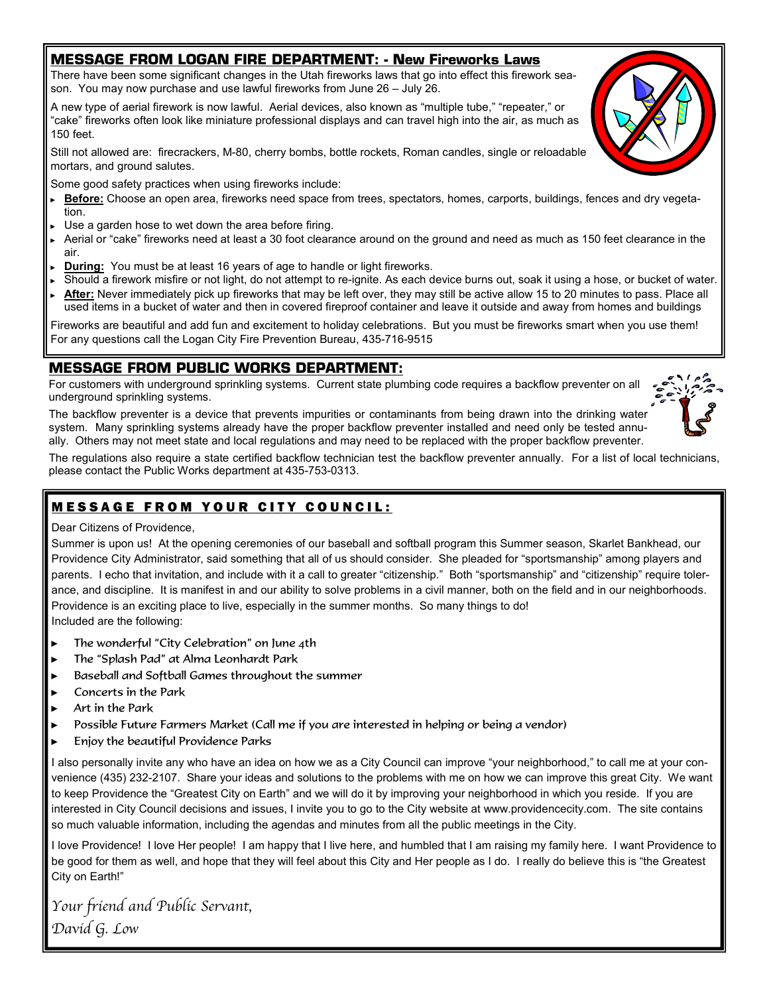## MESSAGE FROM LOGAN FIRE DEPARTMENT: - New Fireworks Laws

There have been some significant changes in the Utah fireworks laws that go into effect this firework season. You may now purchase and use lawful fireworks from June 26 – July 26.

A new type of aerial firework is now lawful. Aerial devices, also known as "multiple tube," "repeater," or "cake" fireworks often look like miniature professional displays and can travel high into the air, as much as 150 feet.

Still not allowed are: firecrackers, M-80, cherry bombs, bottle rockets, Roman candles, single or reloadable mortars, and ground salutes.

Some good safety practices when using fireworks include:

- ► Before: Choose an open area, fireworks need space from trees, spectators, homes, carports, buildings, fences and dry vegetation.
- Use a garden hose to wet down the area before firing.
- ► Aerial or "cake" fireworks need at least a 30 foot clearance around on the ground and need as much as 150 feet clearance in the air.
- **During:** You must be at least 16 years of age to handle or light fireworks.
- Should a firework misfire or not light, do not attempt to re-ignite. As each device burns out, soak it using a hose, or bucket of water.
- After: Never immediately pick up fireworks that may be left over, they may still be active allow 15 to 20 minutes to pass. Place all used items in a bucket of water and then in covered fireproof container and leave it outside and away from homes and buildings

Fireworks are beautiful and add fun and excitement to holiday celebrations. But you must be fireworks smart when you use them! For any questions call the Logan City Fire Prevention Bureau, 435-716-9515

## MESSAGE FROM PUBLIC WORKS DEPARTMENT:

For customers with underground sprinkling systems. Current state plumbing code requires a backflow preventer on all underground sprinkling systems.

The backflow preventer is a device that prevents impurities or contaminants from being drawn into the drinking water system. Many sprinkling systems already have the proper backflow preventer installed and need only be tested annually. Others may not meet state and local regulations and may need to be replaced with the proper backflow preventer.

The regulations also require a state certified backflow technician test the backflow preventer annually. For a list of local technicians, please contact the Public Works department at 435-753-0313.

## **MESSAGE FROM YOUR CITY COUNCIL:**

#### Dear Citizens of Providence,

Summer is upon us! At the opening ceremonies of our baseball and softball program this Summer season, Skarlet Bankhead, our Providence City Administrator, said something that all of us should consider. She pleaded for "sportsmanship" among players and parents. I echo that invitation, and include with it a call to greater "citizenship." Both "sportsmanship" and "citizenship" require tolerance, and discipline. It is manifest in and our ability to solve problems in a civil manner, both on the field and in our neighborhoods. Providence is an exciting place to live, especially in the summer months. So many things to do! Included are the following:

- The wonderful "City Celebration" on June 4th
- The "Splash Pad" at Alma Leonhardt Park
- Baseball and Softball Games throughout the summer
- ► Concerts in the Park
- ► Art in the Park
- Possible Future Farmers Market (Call me if you are interested in helping or being a vendor)
- Enjoy the beautiful Providence Parks

I also personally invite any who have an idea on how we as a City Council can improve "your neighborhood," to call me at your convenience (435) 232-2107. Share your ideas and solutions to the problems with me on how we can improve this great City. We want to keep Providence the "Greatest City on Earth" and we will do it by improving your neighborhood in which you reside. If you are interested in City Council decisions and issues, I invite you to go to the City website at www.providencecity.com. The site contains so much valuable information, including the agendas and minutes from all the public meetings in the City.

I love Providence! I love Her people! I am happy that I live here, and humbled that I am raising my family here. I want Providence to be good for them as well, and hope that they will feel about this City and Her people as I do. I really do believe this is "the Greatest City on Earth!"

Your friend and Public Servant, David G. Low



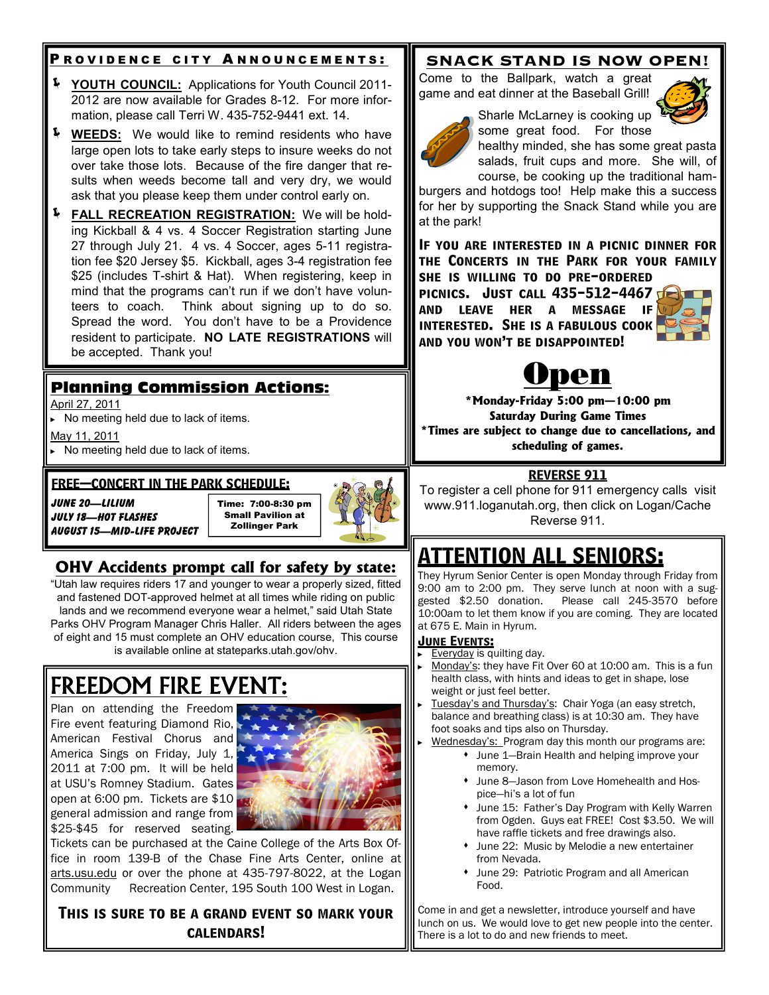## <u>P ROVIDENCE CITY ANNOUNCEMENTS:</u>

- YOUTH COUNCIL: Applications for Youth Council 2011- 2012 are now available for Grades 8-12. For more information, please call Terri W. 435-752-9441 ext. 14.
- **4** WEEDS: We would like to remind residents who have large open lots to take early steps to insure weeks do not over take those lots. Because of the fire danger that results when weeds become tall and very dry, we would ask that you please keep them under control early on.
- FALL RECREATION REGISTRATION: We will be holding Kickball & 4 vs. 4 Soccer Registration starting June 27 through July 21. 4 vs. 4 Soccer, ages 5-11 registration fee \$20 Jersey \$5. Kickball, ages 3-4 registration fee \$25 (includes T-shirt & Hat). When registering, keep in mind that the programs can't run if we don't have volunteers to coach. Think about signing up to do so. Spread the word. You don't have to be a Providence resident to participate. NO LATE REGISTRATIONS will be accepted. Thank you!

## Planning Commission Actions:

April 27, 2011

► No meeting held due to lack of items.

May 11, 2011

► No meeting held due to lack of items.

#### FREE—CONCERT IN THE PARK SCHEDULE:

June 20—Lilium July 18—Hot Flashes August 15—Mid-Life Project

Time: 7:00-8:30 pm Small Pavilion at Zollinger Park



## OHV Accidents prompt call for safety by state:

"Utah law requires riders 17 and younger to wear a properly sized, fitted and fastened DOT-approved helmet at all times while riding on public lands and we recommend everyone wear a helmet," said Utah State Parks OHV Program Manager Chris Haller. All riders between the ages of eight and 15 must complete an OHV education course, This course is available online at stateparks.utah.gov/ohv.

# FREEDOM FIRE EVEN

Plan on attending the Freedom Fire event featuring Diamond Rio, American Festival Chorus and America Sings on Friday, July 1, 2011 at 7:00 pm. It will be held at USU's Romney Stadium. Gates open at 6:00 pm. Tickets are \$10 general admission and range from \$25-\$45 for reserved seating.



Tickets can be purchased at the Caine College of the Arts Box Office in room 139-B of the Chase Fine Arts Center, online at arts.usu.edu or over the phone at 435-797-8022, at the Logan Community Recreation Center, 195 South 100 West in Logan.

This is sure to be a grand event so mark your calendars!

## SNACK STAND IS NOW OPEN!

Come to the Ballpark, watch a great game and eat dinner at the Baseball Grill!



Sharle McLarney is cooking up some great food. For those

healthy minded, she has some great pasta salads, fruit cups and more. She will, of course, be cooking up the traditional ham-

burgers and hotdogs too! Help make this a success for her by supporting the Snack Stand while you are at the park!

If you are interested in a picnic dinner for the Concerts in the Park for your family she is willing to do pre-ordered

PICNICS. JUST CALL 435-512-4467 and leave her a message if interested. She is a fabulous cook and you won't be disappointed!





\*Monday-Friday 5:00 pm—10:00 pm Saturday During Game Times \*Times are subject to change due to cancellations, and scheduling of games.

## REVERSE 911

To register a cell phone for 911 emergency calls visit www.911.loganutah.org, then click on Logan/Cache Reverse 911.

# ATTENTION ALL SENIORS:

They Hyrum Senior Center is open Monday through Friday from 9:00 am to 2:00 pm. They serve lunch at noon with a suggested \$2.50 donation. Please call 245-3570 before 10:00am to let them know if you are coming. They are located at 675 E. Main in Hyrum.

### **JUNE EVENTS:**

- ► Everyday is quilting day.
- Monday's: they have Fit Over 60 at 10:00 am. This is a fun health class, with hints and ideas to get in shape, lose weight or just feel better.
- Tuesday's and Thursday's: Chair Yoga (an easy stretch, balance and breathing class) is at 10:30 am. They have foot soaks and tips also on Thursday.
	- Wednesday's: Program day this month our programs are: June 1—Brain Health and helping improve your memory.
		- June 8—Jason from Love Homehealth and Hospice—hi's a lot of fun
		- June 15: Father's Day Program with Kelly Warren from Ogden. Guys eat FREE! Cost \$3.50. We will have raffle tickets and free drawings also.
		- June 22: Music by Melodie a new entertainer from Nevada.
		- June 29: Patriotic Program and all American Food.

Come in and get a newsletter, introduce yourself and have lunch on us. We would love to get new people into the center. There is a lot to do and new friends to meet.